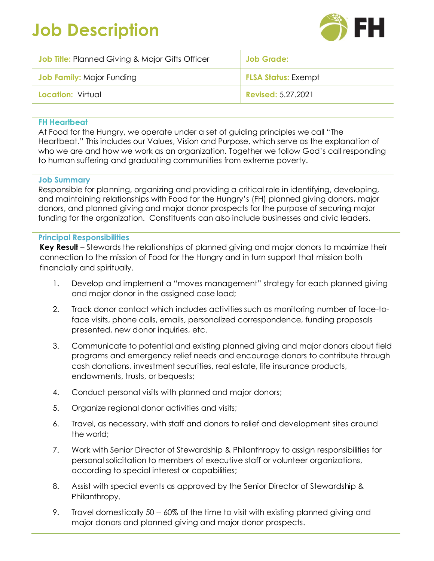# **Job Description**



| <b>Job Title:</b> Planned Giving & Major Gifts Officer | Job Grade:                 |
|--------------------------------------------------------|----------------------------|
| <b>Job Family:</b> Major Funding                       | <b>FLSA Status: Exempt</b> |
| <b>Location: Virtual</b>                               | <b>Revised: 5.27.2021</b>  |

# **FH Heartbeat**

At Food for the Hungry, we operate under a set of guiding principles we call "The Heartbeat." This includes our Values, Vision and Purpose, which serve as the explanation of who we are and how we work as an organization. Together we follow God's call responding to human suffering and graduating communities from extreme poverty.

# **Job Summary**

Responsible for planning, organizing and providing a critical role in identifying, developing, and maintaining relationships with Food for the Hungry's (FH) planned giving donors, major donors, and planned giving and major donor prospects for the purpose of securing major funding for the organization. Constituents can also include businesses and civic leaders.

#### **Principal Responsibilities**

**Key Result** – Stewards the relationships of planned giving and major donors to maximize their connection to the mission of Food for the Hungry and in turn support that mission both financially and spiritually.

- 1. Develop and implement a "moves management" strategy for each planned giving and major donor in the assigned case load;
- 2. Track donor contact which includes activities such as monitoring number of face-toface visits, phone calls, emails, personalized correspondence, funding proposals presented, new donor inquiries, etc.
- 3. Communicate to potential and existing planned giving and major donors about field programs and emergency relief needs and encourage donors to contribute through cash donations, investment securities, real estate, life insurance products, endowments, trusts, or bequests;
- 4. Conduct personal visits with planned and major donors;
- 5. Organize regional donor activities and visits;
- 6. Travel, as necessary, with staff and donors to relief and development sites around the world;
- 7. Work with Senior Director of Stewardship & Philanthropy to assign responsibilities for personal solicitation to members of executive staff or volunteer organizations, according to special interest or capabilities;
- 8. Assist with special events as approved by the Senior Director of Stewardship & Philanthropy.
- 9. Travel domestically 50 -- 60% of the time to visit with existing planned giving and major donors and planned giving and major donor prospects.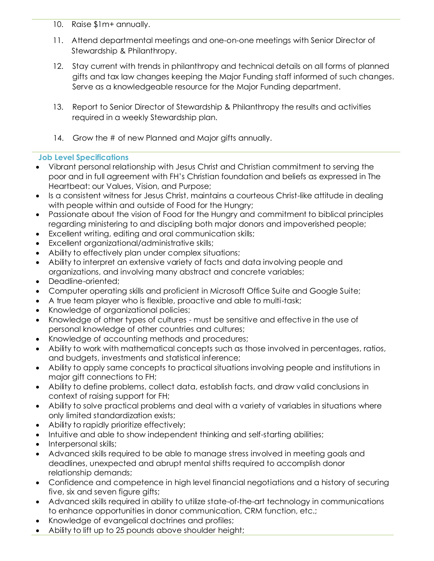- 10. Raise \$1m+ annually.
- 11. Attend departmental meetings and one-on-one meetings with Senior Director of Stewardship & Philanthropy.
- 12. Stay current with trends in philanthropy and technical details on all forms of planned gifts and tax law changes keeping the Major Funding staff informed of such changes. Serve as a knowledgeable resource for the Major Funding department.
- 13. Report to Senior Director of Stewardship & Philanthropy the results and activities required in a weekly Stewardship plan.
- 14. Grow the # of new Planned and Major gifts annually.

# **Job Level Specifications**

- Vibrant personal relationship with Jesus Christ and Christian commitment to serving the poor and in full agreement with FH's Christian foundation and beliefs as expressed in The Heartbeat: our Values, Vision, and Purpose;
- Is a consistent witness for Jesus Christ, maintains a courteous Christ-like attitude in dealing with people within and outside of Food for the Hungry;
- Passionate about the vision of Food for the Hungry and commitment to biblical principles regarding ministering to and discipling both major donors and impoverished people;
- Excellent writing, editing and oral communication skills;
- Excellent organizational/administrative skills;
- Ability to effectively plan under complex situations;
- Ability to interpret an extensive variety of facts and data involving people and organizations, and involving many abstract and concrete variables;
- Deadline-oriented:
- Computer operating skills and proficient in Microsoft Office Suite and Google Suite;
- A true team player who is flexible, proactive and able to multi-task;
- Knowledge of organizational policies;
- Knowledge of other types of cultures must be sensitive and effective in the use of personal knowledge of other countries and cultures;
- Knowledge of accounting methods and procedures;
- Ability to work with mathematical concepts such as those involved in percentages, ratios, and budgets, investments and statistical inference;
- Ability to apply same concepts to practical situations involving people and institutions in major gift connections to FH;
- Ability to define problems, collect data, establish facts, and draw valid conclusions in context of raising support for FH;
- Ability to solve practical problems and deal with a variety of variables in situations where only limited standardization exists;
- Ability to rapidly prioritize effectively;
- Intuitive and able to show independent thinking and self-starting abilities;
- Interpersonal skills;
- Advanced skills required to be able to manage stress involved in meeting goals and deadlines, unexpected and abrupt mental shifts required to accomplish donor relationship demands;
- Confidence and competence in high level financial negotiations and a history of securing five, six and seven figure gifts;
- Advanced skills required in ability to utilize state-of-the-art technology in communications to enhance opportunities in donor communication, CRM function, etc.;
- Knowledge of evangelical doctrines and profiles;
- Ability to lift up to 25 pounds above shoulder height;